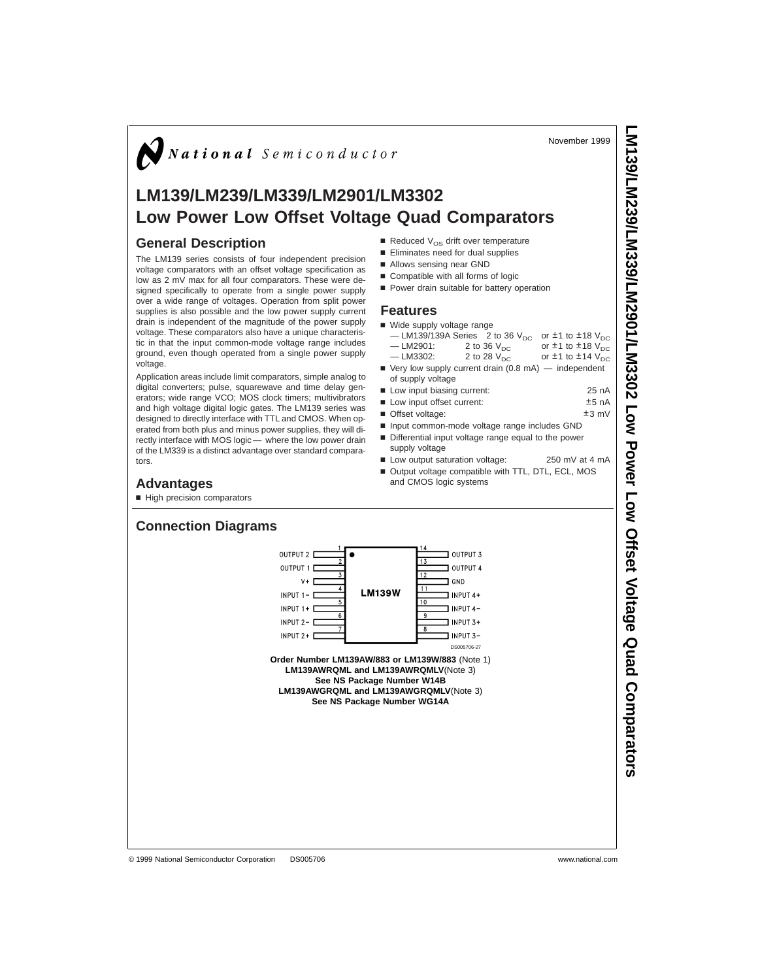**LM139/LM239/LM339/LM2901/LM3302**

 **Low Power Low Offset Voltage Quad** 

**Comparators**

# $\bigvee$  National Semiconductor

# **LM139/LM239/LM339/LM2901/LM3302 Low Power Low Offset Voltage Quad Comparators**

#### **General Description**

The LM139 series consists of four independent precision voltage comparators with an offset voltage specification as low as 2 mV max for all four comparators. These were designed specifically to operate from a single power supply over a wide range of voltages. Operation from split power supplies is also possible and the low power supply current drain is independent of the magnitude of the power supply voltage. These comparators also have a unique characteristic in that the input common-mode voltage range includes ground, even though operated from a single power supply voltage.

Application areas include limit comparators, simple analog to digital converters; pulse, squarewave and time delay generators; wide range VCO; MOS clock timers; multivibrators and high voltage digital logic gates. The LM139 series was designed to directly interface with TTL and CMOS. When operated from both plus and minus power supplies, they will directly interface with MOS logic — where the low power drain of the LM339 is a distinct advantage over standard comparators.

Reduced  $V_{OS}$  drift over temperature

- **Eliminates need for dual supplies**
- Allows sensing near GND
- Compatible with all forms of logic
- **Power drain suitable for battery operation**

#### **Features**

- Wide supply voltage range — LM139/139A Series 2 to 36 V<sub>DC</sub> or ±1 to ±18 V<sub>DC</sub><br>— LM2901: 2 to 36 V<sub>DC</sub> or ±1 to ±18 V<sub>DC</sub> — LM2901: 2 to 36 V<sub>DC</sub> or ±1 to ±18 V<sub>DC</sub><br>
— LM3302: 2 to 28 V<sub>DC</sub> or ±1 to ±14 V<sub>DC</sub> or  $\pm$ 1 to  $\pm$ 14 V<sub>DC</sub>
- $\blacksquare$  Very low supply current drain (0.8 mA) independent of supply voltage
- 
- Low input biasing current: 25 nA<br>■ Low input offset current: 25 nA
- Low input offset current:  $\qquad$   $\qquad$  ±5 nA<br>■ Offset voltage:  $\qquad$  ±3 mV ■ Offset voltage:
- Input common-mode voltage range includes GND
- Differential input voltage range equal to the power
- supply voltage
- Low output saturation voltage: 250 mV at 4 mA
- Output voltage compatible with TTL, DTL, ECL, MOS and CMOS logic systems

# **Advantages**

■ High precision comparators

**Connection Diagrams** OUTPUT 2 F OUTPUT 3 OUTPUT 1 E OUTPUT 4 GND  $V +$ **LM139W** INPUT 1- D  $\Box$  INPUT 4+  $\blacksquare$  INPUT 4-INPUT  $1+$  [  $\blacksquare$  INPUT 3+ INPUT  $2-1$ INPUT  $2 +$   $\Gamma$  $T$  INPUT 3-DS005706-27 **Order Number LM139AW/883 or LM139W/883** (Note 1) **LM139AWRQML and LM139AWRQMLV**(Note 3) **See NS Package Number W14B LM139AWGRQML and LM139AWGRQMLV**(Note 3) **See NS Package Number WG14A**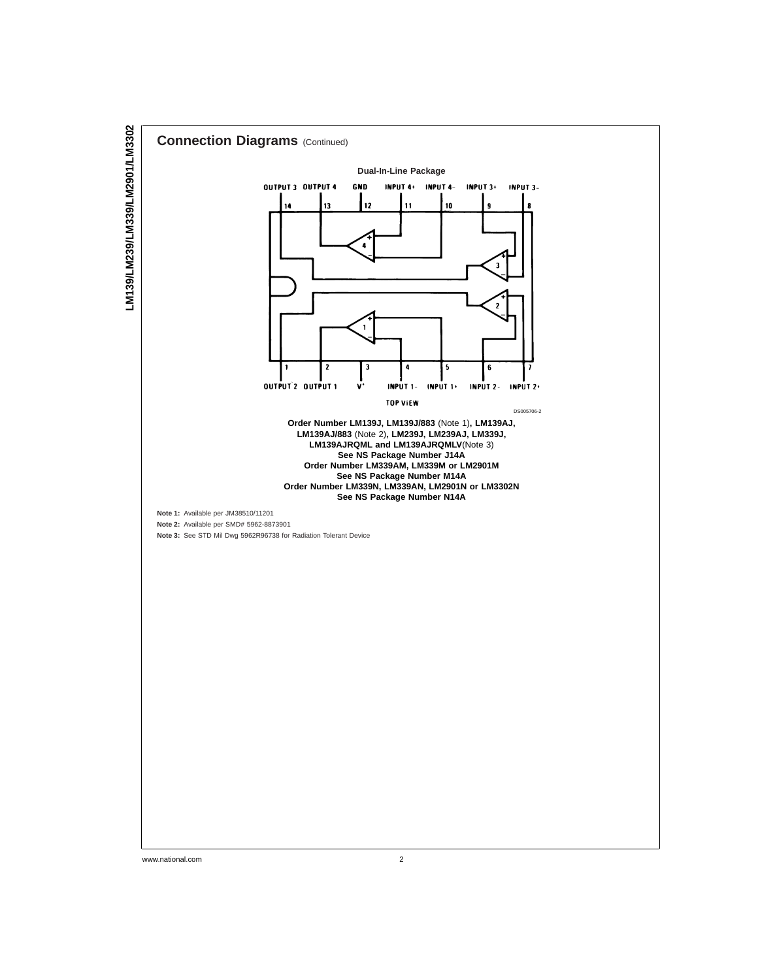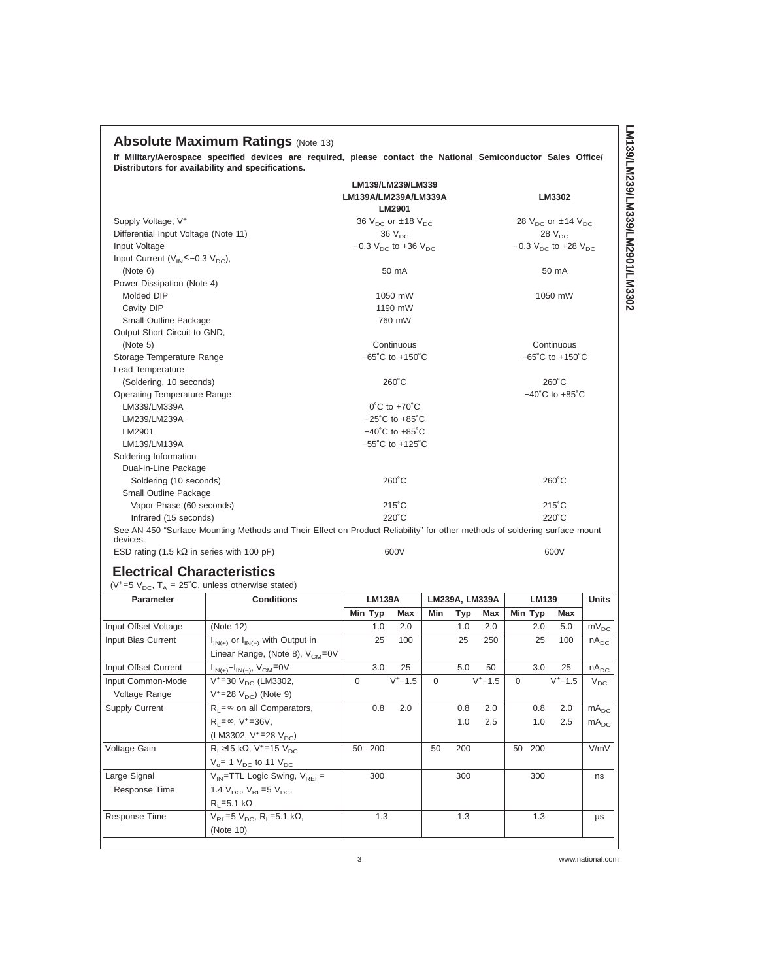|                                                              | <b>Absolute Maximum Ratings (Note 13)</b>                                                                                                                          |                                                                                                                            |                                               |     |                |                 |                 |     |                                               |                             |  |  |
|--------------------------------------------------------------|--------------------------------------------------------------------------------------------------------------------------------------------------------------------|----------------------------------------------------------------------------------------------------------------------------|-----------------------------------------------|-----|----------------|-----------------|-----------------|-----|-----------------------------------------------|-----------------------------|--|--|
|                                                              | If Military/Aerospace specified devices are required, please contact the National Semiconductor Sales Office/<br>Distributors for availability and specifications. |                                                                                                                            |                                               |     |                |                 |                 |     |                                               |                             |  |  |
|                                                              |                                                                                                                                                                    |                                                                                                                            | LM139/LM239/LM339                             |     |                |                 |                 |     |                                               |                             |  |  |
|                                                              |                                                                                                                                                                    |                                                                                                                            | LM139A/LM239A/LM339A                          |     |                |                 |                 |     | LM3302                                        |                             |  |  |
|                                                              |                                                                                                                                                                    |                                                                                                                            | LM2901                                        |     |                |                 |                 |     |                                               |                             |  |  |
| Supply Voltage, V <sup>+</sup>                               |                                                                                                                                                                    |                                                                                                                            | 36 $V_{DC}$ or $\pm$ 18 $V_{DC}$              |     |                |                 |                 |     | 28 $V_{DC}$ or $\pm$ 14 $V_{DC}$              |                             |  |  |
| Differential Input Voltage (Note 11)                         |                                                                                                                                                                    |                                                                                                                            | $36V_{DC}$                                    |     |                |                 |                 |     | 28 $V_{DC}$                                   |                             |  |  |
| Input Voltage                                                |                                                                                                                                                                    |                                                                                                                            | $-0.3$ V <sub>DC</sub> to +36 V <sub>DC</sub> |     |                |                 |                 |     | $-0.3$ V <sub>DC</sub> to +28 V <sub>DC</sub> |                             |  |  |
| Input Current ( $V_{IN}$ <-0.3 $V_{DC}$ ),                   |                                                                                                                                                                    |                                                                                                                            |                                               |     |                |                 |                 |     |                                               |                             |  |  |
| (Note 6)                                                     |                                                                                                                                                                    |                                                                                                                            | 50 mA                                         |     |                |                 |                 |     | 50 mA                                         |                             |  |  |
| Power Dissipation (Note 4)<br>Molded DIP                     |                                                                                                                                                                    |                                                                                                                            | 1050 mW                                       |     |                |                 |                 |     | 1050 mW                                       |                             |  |  |
| Cavity DIP                                                   |                                                                                                                                                                    |                                                                                                                            | 1190 mW                                       |     |                |                 |                 |     |                                               |                             |  |  |
| Small Outline Package                                        |                                                                                                                                                                    |                                                                                                                            | 760 mW                                        |     |                |                 |                 |     |                                               |                             |  |  |
| Output Short-Circuit to GND,                                 |                                                                                                                                                                    |                                                                                                                            |                                               |     |                |                 |                 |     |                                               |                             |  |  |
| (Note 5)                                                     |                                                                                                                                                                    |                                                                                                                            | Continuous                                    |     |                |                 |                 |     | Continuous                                    |                             |  |  |
| Storage Temperature Range                                    |                                                                                                                                                                    |                                                                                                                            | $-65^{\circ}$ C to +150 $^{\circ}$ C          |     |                |                 |                 |     | $-65^{\circ}$ C to +150 $^{\circ}$ C          |                             |  |  |
| Lead Temperature                                             |                                                                                                                                                                    |                                                                                                                            |                                               |     |                |                 |                 |     |                                               |                             |  |  |
| (Soldering, 10 seconds)                                      |                                                                                                                                                                    |                                                                                                                            | $260^{\circ}$ C                               |     |                |                 |                 |     | $260^{\circ}$ C                               |                             |  |  |
| <b>Operating Temperature Range</b>                           |                                                                                                                                                                    |                                                                                                                            |                                               |     |                |                 |                 |     | $-40^{\circ}$ C to $+85^{\circ}$ C            |                             |  |  |
| LM339/LM339A                                                 |                                                                                                                                                                    |                                                                                                                            | $0^{\circ}$ C to +70 $^{\circ}$ C             |     |                |                 |                 |     |                                               |                             |  |  |
| LM239/LM239A                                                 |                                                                                                                                                                    |                                                                                                                            | $-25^{\circ}$ C to $+85^{\circ}$ C            |     |                |                 |                 |     |                                               |                             |  |  |
| LM2901                                                       | $-40^{\circ}$ C to $+85^{\circ}$ C                                                                                                                                 |                                                                                                                            |                                               |     |                |                 |                 |     |                                               |                             |  |  |
| LM139/LM139A                                                 |                                                                                                                                                                    |                                                                                                                            | $-55^{\circ}$ C to +125 $^{\circ}$ C          |     |                |                 |                 |     |                                               |                             |  |  |
| Soldering Information                                        |                                                                                                                                                                    |                                                                                                                            |                                               |     |                |                 |                 |     |                                               |                             |  |  |
| Dual-In-Line Package                                         |                                                                                                                                                                    |                                                                                                                            |                                               |     |                |                 |                 |     |                                               |                             |  |  |
| Soldering (10 seconds)                                       |                                                                                                                                                                    | $260^{\circ}$ C                                                                                                            |                                               |     |                | $260^{\circ}$ C |                 |     |                                               |                             |  |  |
| Small Outline Package                                        | $215^{\circ}$ C                                                                                                                                                    |                                                                                                                            |                                               |     |                |                 | $215^{\circ}$ C |     |                                               |                             |  |  |
| Vapor Phase (60 seconds)<br>Infrared (15 seconds)            | $220^{\circ}$ C                                                                                                                                                    |                                                                                                                            |                                               |     |                |                 | $220^{\circ}$ C |     |                                               |                             |  |  |
|                                                              |                                                                                                                                                                    | See AN-450 "Surface Mounting Methods and Their Effect on Product Reliability" for other methods of soldering surface mount |                                               |     |                |                 |                 |     |                                               |                             |  |  |
| devices.                                                     |                                                                                                                                                                    |                                                                                                                            |                                               |     |                |                 |                 |     |                                               |                             |  |  |
| ESD rating (1.5 k $\Omega$ in series with 100 pF)            |                                                                                                                                                                    |                                                                                                                            | 600V                                          |     |                |                 | 600V            |     |                                               |                             |  |  |
|                                                              |                                                                                                                                                                    |                                                                                                                            |                                               |     |                |                 |                 |     |                                               |                             |  |  |
| <b>Electrical Characteristics</b>                            |                                                                                                                                                                    |                                                                                                                            |                                               |     |                |                 |                 |     |                                               |                             |  |  |
| ( $V^*=5$ $V_{DC}$ , $T_A = 25$ °C, unless otherwise stated) |                                                                                                                                                                    |                                                                                                                            |                                               |     |                |                 |                 |     |                                               |                             |  |  |
| <b>Parameter</b>                                             | <b>Conditions</b>                                                                                                                                                  |                                                                                                                            | <b>LM139A</b>                                 |     | LM239A, LM339A |                 | LM139           |     |                                               | <b>Units</b>                |  |  |
|                                                              |                                                                                                                                                                    | Min Typ                                                                                                                    | Max                                           | Min | Typ            | Max             | Min Typ         |     | Max                                           |                             |  |  |
| Input Offset Voltage                                         | (Note 12)                                                                                                                                                          | 1.0                                                                                                                        | 2.0                                           |     | 1.0            | 2.0             |                 | 2.0 | 5.0                                           | $\mathsf{mV}_{\mathsf{DC}}$ |  |  |
| Input Bias Current                                           | $I_{IN(+)}$ or $I_{IN(-)}$ with Output in                                                                                                                          | 25                                                                                                                         | 100                                           |     | 25             | 250             |                 | 25  | 100                                           | $nA_{DC}$                   |  |  |
|                                                              | Linear Range, (Note 8), V <sub>CM</sub> =0V                                                                                                                        |                                                                                                                            |                                               |     |                |                 |                 |     |                                               |                             |  |  |
| Input Offset Current                                         | $I_{IN(+)} - I_{IN(-)}$ , $V_{CM} = 0V$                                                                                                                            | 3.0                                                                                                                        | 25                                            |     | 5.0            | 50              |                 | 3.0 | 25                                            | $nA_{DC}$                   |  |  |
| Input Common-Mode                                            | $V^+ = 30 V_{DC}$ (LM3302,                                                                                                                                         | 0                                                                                                                          | $V^+ - 1.5$                                   | 0   |                | $V^+ - 1.5$     | 0               |     | $V^+ - 1.5$                                   | $\rm V_{DC}$                |  |  |
| Voltage Range                                                | $V^+ = 28 V_{DC}$ (Note 9)                                                                                                                                         |                                                                                                                            |                                               |     |                |                 |                 |     |                                               |                             |  |  |
| Supply Current                                               | $R_L = \infty$ on all Comparators,                                                                                                                                 | 0.8                                                                                                                        | 2.0                                           |     | 0.8            | 2.0             |                 | 0.8 | 2.0                                           | mA <sub>DC</sub>            |  |  |
|                                                              | $R_1 = \infty$ , V <sup>+</sup> =36V,                                                                                                                              |                                                                                                                            |                                               |     | 1.0            | 2.5             |                 | 1.0 | 2.5                                           | $mA_{DC}$                   |  |  |
|                                                              | (LM3302, V <sup>+</sup> =28 V <sub>DC</sub> )                                                                                                                      |                                                                                                                            |                                               |     |                |                 |                 |     |                                               |                             |  |  |
| Voltage Gain                                                 | $R_1 \ge 15$ kΩ, V <sup>+</sup> =15 V <sub>DC</sub>                                                                                                                | 50 200                                                                                                                     |                                               | 50  | 200            |                 | 50 200          |     |                                               | V/mV                        |  |  |
|                                                              | $V_o$ = 1 $V_{DC}$ to 11 $V_{DC}$                                                                                                                                  |                                                                                                                            |                                               |     |                |                 |                 |     |                                               |                             |  |  |
| Large Signal                                                 | $V_{IN}$ =TTL Logic Swing, $V_{REF}$ =                                                                                                                             | 300                                                                                                                        |                                               |     | 300            |                 |                 | 300 |                                               | ns                          |  |  |
| Response Time                                                | 1.4 $V_{DC}$ , $V_{RL} = 5 V_{DC}$ ,                                                                                                                               |                                                                                                                            |                                               |     |                |                 |                 |     |                                               |                             |  |  |
|                                                              | $R_1 = 5.1$ k $\Omega$                                                                                                                                             |                                                                                                                            |                                               |     |                |                 |                 |     |                                               |                             |  |  |
| Response Time                                                | $V_{RL} = 5 V_{DC}$ , R <sub>L</sub> =5.1 kΩ,                                                                                                                      |                                                                                                                            | 1.3                                           |     | 1.3            |                 |                 | 1.3 |                                               | μs                          |  |  |
|                                                              | (Note 10)                                                                                                                                                          |                                                                                                                            |                                               |     |                |                 |                 |     |                                               |                             |  |  |
|                                                              |                                                                                                                                                                    |                                                                                                                            |                                               |     |                |                 |                 |     |                                               |                             |  |  |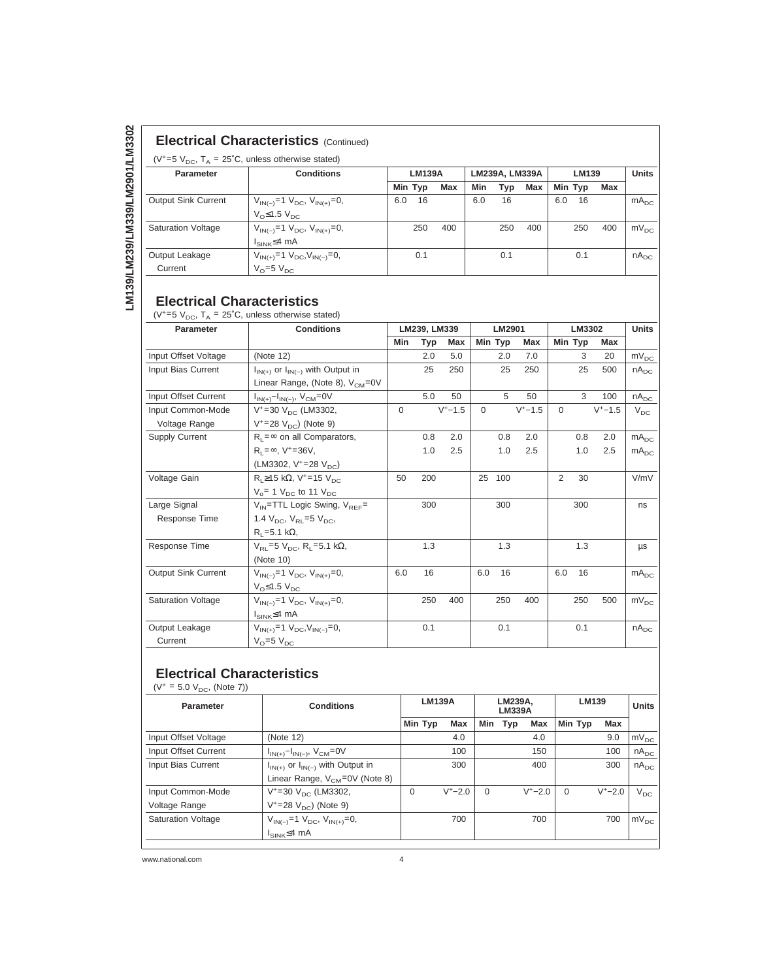# **Electrical Characteristics** (Continued)

( $V^+=5 V_{DC}$ ,  $T_A = 25°C$ , unless otherwise stated)

| <b>Parameter</b>           | <b>Conditions</b>                        |         | <b>LM139A</b> |     | <b>LM239A, LM339A</b> |     |     |         | <b>Units</b> |     |                  |
|----------------------------|------------------------------------------|---------|---------------|-----|-----------------------|-----|-----|---------|--------------|-----|------------------|
|                            |                                          | Min Typ |               | Max | Min                   | Typ | Max | Min Typ |              | Max |                  |
| <b>Output Sink Current</b> | $V_{IN(-)}=1$ $V_{DC}$ , $V_{IN(+)}=0$ , | 6.0     | 16            |     | 6.0                   | 16  |     | 6.0     | 16           |     | mA <sub>DC</sub> |
|                            | $V0 \le 1.5 VDC$                         |         |               |     |                       |     |     |         |              |     |                  |
| <b>Saturation Voltage</b>  | $V_{IN(-)}=1$ $V_{DC}$ , $V_{IN(+)}=0$ , |         | 250           | 400 |                       | 250 | 400 |         | 250          | 400 | $mv_{DC}$        |
|                            | I <sub>SINK</sub> ≤4 mA                  |         |               |     |                       |     |     |         |              |     |                  |
| Output Leakage             | $V_{IN(+)}=1$ $V_{DC}$ , $V_{IN(-)}=0$ , |         | 0.1           |     |                       | 0.1 |     |         | 0.1          |     | $nA_{DC}$        |
| Current                    | $V_{\Omega} = 5 V_{\text{DC}}$           |         |               |     |                       |     |     |         |              |     |                  |

### **Electrical Characteristics**

( $V^+=5$   $V_{DC}$ ,  $T_A = 25^\circ C$ , unless otherwise stated)

| <b>Parameter</b>           | <b>Conditions</b>                                              | LM239, LM339 |     |             |          | LM2901  |             | LM3302         | <b>Units</b> |             |                  |
|----------------------------|----------------------------------------------------------------|--------------|-----|-------------|----------|---------|-------------|----------------|--------------|-------------|------------------|
|                            |                                                                | Min          | Typ | Max         |          | Min Typ | Max         |                | Min Typ      | Max         |                  |
| Input Offset Voltage       | (Note 12)                                                      |              | 2.0 | 5.0         |          | 2.0     | 7.0         |                | 3            | 20          | $mv_{DC}$        |
| Input Bias Current         | $I_{IN(+)}$ or $I_{IN(-)}$ with Output in                      |              | 25  | 250         |          | 25      | 250         |                | 25           | 500         | $nA_{DC}$        |
|                            | Linear Range, (Note 8), $V_{CM} = 0V$                          |              |     |             |          |         |             |                |              |             |                  |
| Input Offset Current       | $I_{IN(+)} - I_{IN(-)}$ , $V_{CM} = 0V$                        |              | 5.0 | 50          |          | 5       | 50          |                | 3            | 100         | $nA_{DC}$        |
| Input Common-Mode          | $V^* = 30$ V <sub>DC</sub> (LM3302,                            | $\Omega$     |     | $V^+ - 1.5$ | $\Omega$ |         | $V^+ - 1.5$ | $\Omega$       |              | $V^+ - 1.5$ | $V_{DC}$         |
| Voltage Range              | $V^+ = 28$ $V_{DC}$ ) (Note 9)                                 |              |     |             |          |         |             |                |              |             |                  |
| <b>Supply Current</b>      | $R_1 = \infty$ on all Comparators,                             |              | 0.8 | 2.0         |          | 0.8     | 2.0         |                | 0.8          | 2.0         | mA <sub>DC</sub> |
|                            | $R_1 = \infty$ , V <sup>+</sup> =36V,                          |              | 1.0 | 2.5         |          | 1.0     | 2.5         |                | 1.0          | 2.5         | mA <sub>DC</sub> |
|                            | (LM3302, $V^+ = 28 V_{DC}$ )                                   |              |     |             |          |         |             |                |              |             |                  |
| Voltage Gain               | $R_1$ ≥15 kΩ, V <sup>+</sup> =15 V <sub>DC</sub>               | 50           | 200 |             | 25       | 100     |             | $\overline{2}$ | 30           |             | V/mV             |
|                            | $V_{o}$ = 1 $V_{DC}$ to 11 $V_{DC}$                            |              |     |             |          |         |             |                |              |             |                  |
| Large Signal               | $V_{IN}$ =TTL Logic Swing, $V_{BEF}$ =                         |              | 300 |             |          | 300     |             |                | 300          |             | ns               |
| Response Time              | 1.4 $V_{DC}$ , $V_{RI}$ = 5 $V_{DC}$ ,                         |              |     |             |          |         |             |                |              |             |                  |
|                            | $R_1 = 5.1$ k $\Omega$ ,                                       |              |     |             |          |         |             |                |              |             |                  |
| Response Time              | $V_{\text{RI}}$ = 5 $V_{\text{DC}}$ , R <sub>1</sub> = 5.1 kΩ, |              | 1.3 |             |          | 1.3     |             |                | 1.3          |             | μs               |
|                            | (Note 10)                                                      |              |     |             |          |         |             |                |              |             |                  |
| <b>Output Sink Current</b> | $V_{IN(-)}=1$ $V_{DC}$ , $V_{IN(+)}=0$ ,                       | 6.0          | 16  |             | 6.0      | 16      |             | 6.0            | 16           |             | mA <sub>DC</sub> |
|                            | $VO \le 1.5 VDC$                                               |              |     |             |          |         |             |                |              |             |                  |
| <b>Saturation Voltage</b>  | $V_{IN(-)}=1$ $V_{DC}$ , $V_{IN(+)}=0$ ,                       |              | 250 | 400         |          | 250     | 400         |                | 250          | 500         | $mV_{DC}$        |
|                            | $I_{\text{SINK}}$ ≤4 mA                                        |              |     |             |          |         |             |                |              |             |                  |
| Output Leakage             | $V_{IN(+)}=1$ $V_{DC}$ , $V_{IN(-)}=0$ ,                       |              | 0.1 |             |          | 0.1     |             |                | 0.1          |             | $nA_{DC}$        |
| Current                    | $V_0 = 5 V_{DC}$                                               |              |     |             |          |         |             |                |              |             |                  |

## **Electrical Characteristics**

 $(V^* = 5.0 V_{DC}$ , (Note 7))

| Parameter                 | <b>Conditions</b>                         | <b>LM139A</b> |             | LM239A,<br><b>LM339A</b> |            |             | LM139    | <b>Units</b> |                             |
|---------------------------|-------------------------------------------|---------------|-------------|--------------------------|------------|-------------|----------|--------------|-----------------------------|
|                           |                                           | Min Typ       | <b>Max</b>  | Min                      | <b>Typ</b> | Max         | Min Typ  | Max          |                             |
| Input Offset Voltage      | (Note 12)                                 |               | 4.0         |                          |            | 4.0         |          | 9.0          | $mV_{DC}$                   |
| Input Offset Current      | $I_{IN(+)} - I_{IN(-)}$ , $V_{CM} = 0V$   |               | 100         |                          |            | 150         |          | 100          | $nA_{DC}$                   |
| Input Bias Current        | $I_{IN(+)}$ or $I_{IN(-)}$ with Output in |               | 300         |                          |            | 400         |          | 300          | $nA_{DC}$                   |
|                           | Linear Range, $V_{CM} = 0V$ (Note 8)      |               |             |                          |            |             |          |              |                             |
| Input Common-Mode         | $V^* = 30$ V <sub>DC</sub> (LM3302,       | 0             | $V^+ - 2.0$ | $\Omega$                 |            | $V^+ - 2.0$ | $\Omega$ | $V^+ - 2.0$  | $V_{DC}$                    |
| Voltage Range             | $V^+ = 28$ $V_{DC}$ ) (Note 9)            |               |             |                          |            |             |          |              |                             |
| <b>Saturation Voltage</b> | $V_{IN(-)}=1$ $V_{DC}$ , $V_{IN(+)}=0$ ,  |               | 700         |                          |            | 700         |          | 700          | $\mathsf{mv}_{\mathsf{nc}}$ |
|                           | $I_{SINK}$ ≤4 mA                          |               |             |                          |            |             |          |              |                             |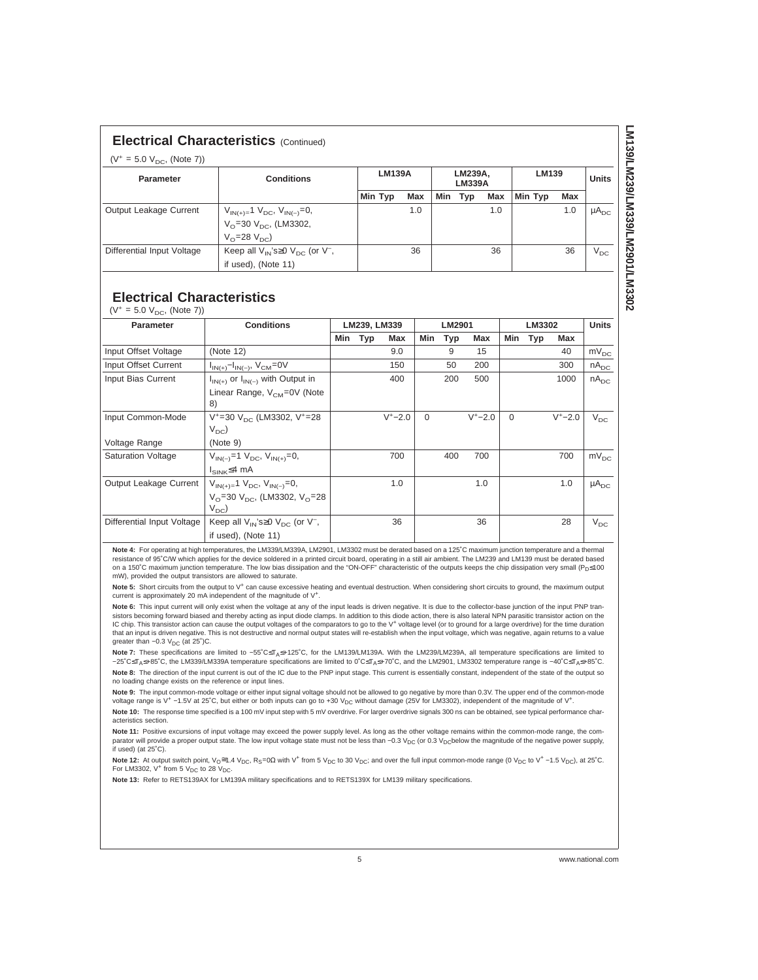| <b>Parameter</b>                                                                                                                                                                                                                                                                          |            | <b>Conditions</b>                                                                                                                                                                                                                                                                                                                                                                                                                                                                                                                                                                                                                                                                                                                                                                                                                                                                                                                                                                                                                                                                                                                                                                                                                                                                                                                                                                                                                                                                                                                                                                                                                                                                                                                                                                                                                                                                                                                                                                                                                                                                                                                                                                                                                                                                                                                                                                                                                                                                                                                                                                                                                                                                                                                                                                                                                                                                                                                                                                                                                                                                                                                                                                                                                                                                                                                                  |     | <b>LM139A</b>     |  |     |            | LM239A,<br><b>LM339A</b> |             | LM139                              |         |             | Units        |
|-------------------------------------------------------------------------------------------------------------------------------------------------------------------------------------------------------------------------------------------------------------------------------------------|------------|----------------------------------------------------------------------------------------------------------------------------------------------------------------------------------------------------------------------------------------------------------------------------------------------------------------------------------------------------------------------------------------------------------------------------------------------------------------------------------------------------------------------------------------------------------------------------------------------------------------------------------------------------------------------------------------------------------------------------------------------------------------------------------------------------------------------------------------------------------------------------------------------------------------------------------------------------------------------------------------------------------------------------------------------------------------------------------------------------------------------------------------------------------------------------------------------------------------------------------------------------------------------------------------------------------------------------------------------------------------------------------------------------------------------------------------------------------------------------------------------------------------------------------------------------------------------------------------------------------------------------------------------------------------------------------------------------------------------------------------------------------------------------------------------------------------------------------------------------------------------------------------------------------------------------------------------------------------------------------------------------------------------------------------------------------------------------------------------------------------------------------------------------------------------------------------------------------------------------------------------------------------------------------------------------------------------------------------------------------------------------------------------------------------------------------------------------------------------------------------------------------------------------------------------------------------------------------------------------------------------------------------------------------------------------------------------------------------------------------------------------------------------------------------------------------------------------------------------------------------------------------------------------------------------------------------------------------------------------------------------------------------------------------------------------------------------------------------------------------------------------------------------------------------------------------------------------------------------------------------------------------------------------------------------------------------------------------------------------|-----|-------------------|--|-----|------------|--------------------------|-------------|------------------------------------|---------|-------------|--------------|
|                                                                                                                                                                                                                                                                                           |            |                                                                                                                                                                                                                                                                                                                                                                                                                                                                                                                                                                                                                                                                                                                                                                                                                                                                                                                                                                                                                                                                                                                                                                                                                                                                                                                                                                                                                                                                                                                                                                                                                                                                                                                                                                                                                                                                                                                                                                                                                                                                                                                                                                                                                                                                                                                                                                                                                                                                                                                                                                                                                                                                                                                                                                                                                                                                                                                                                                                                                                                                                                                                                                                                                                                                                                                                                    |     | Min Typ           |  | Max | Min        | <b>Typ</b>               | Max         |                                    | Min Typ | Max         |              |
| Output Leakage Current                                                                                                                                                                                                                                                                    |            | $V_{IN(+)}=1$ $V_{DC}$ , $V_{IN(-)}=0$ ,<br>$V_{\Omega}$ =30 $V_{\text{DC}}$ , (LM3302,<br>$V_{O} = 28 V_{DC}$                                                                                                                                                                                                                                                                                                                                                                                                                                                                                                                                                                                                                                                                                                                                                                                                                                                                                                                                                                                                                                                                                                                                                                                                                                                                                                                                                                                                                                                                                                                                                                                                                                                                                                                                                                                                                                                                                                                                                                                                                                                                                                                                                                                                                                                                                                                                                                                                                                                                                                                                                                                                                                                                                                                                                                                                                                                                                                                                                                                                                                                                                                                                                                                                                                     |     |                   |  | 1.0 |            |                          | 1.0         |                                    |         | 1.0         | $\mu A_{DC}$ |
| Differential Input Voltage                                                                                                                                                                                                                                                                |            | $\frac{C}{C}$ = $\frac{C}{C}$<br>Keep all $V_{IN}$ 's $\geq 0$ $V_{DC}$ (or $V^-$ ,<br>if used), (Note 11)                                                                                                                                                                                                                                                                                                                                                                                                                                                                                                                                                                                                                                                                                                                                                                                                                                                                                                                                                                                                                                                                                                                                                                                                                                                                                                                                                                                                                                                                                                                                                                                                                                                                                                                                                                                                                                                                                                                                                                                                                                                                                                                                                                                                                                                                                                                                                                                                                                                                                                                                                                                                                                                                                                                                                                                                                                                                                                                                                                                                                                                                                                                                                                                                                                         |     |                   |  | 36  |            |                          | 36          |                                    |         | 36          | $V_{DC}$     |
| <b>Electrical Characteristics</b><br>$(V^* = 5.0 V_{DC}$ , (Note 7))                                                                                                                                                                                                                      |            |                                                                                                                                                                                                                                                                                                                                                                                                                                                                                                                                                                                                                                                                                                                                                                                                                                                                                                                                                                                                                                                                                                                                                                                                                                                                                                                                                                                                                                                                                                                                                                                                                                                                                                                                                                                                                                                                                                                                                                                                                                                                                                                                                                                                                                                                                                                                                                                                                                                                                                                                                                                                                                                                                                                                                                                                                                                                                                                                                                                                                                                                                                                                                                                                                                                                                                                                                    |     |                   |  |     |            |                          |             |                                    |         |             |              |
| <b>Parameter</b>                                                                                                                                                                                                                                                                          |            | <b>Conditions</b>                                                                                                                                                                                                                                                                                                                                                                                                                                                                                                                                                                                                                                                                                                                                                                                                                                                                                                                                                                                                                                                                                                                                                                                                                                                                                                                                                                                                                                                                                                                                                                                                                                                                                                                                                                                                                                                                                                                                                                                                                                                                                                                                                                                                                                                                                                                                                                                                                                                                                                                                                                                                                                                                                                                                                                                                                                                                                                                                                                                                                                                                                                                                                                                                                                                                                                                                  |     | LM239, LM339      |  |     |            | LM2901                   |             | LM3302<br>Min<br><b>Typ</b><br>Max |         |             | Units        |
|                                                                                                                                                                                                                                                                                           |            |                                                                                                                                                                                                                                                                                                                                                                                                                                                                                                                                                                                                                                                                                                                                                                                                                                                                                                                                                                                                                                                                                                                                                                                                                                                                                                                                                                                                                                                                                                                                                                                                                                                                                                                                                                                                                                                                                                                                                                                                                                                                                                                                                                                                                                                                                                                                                                                                                                                                                                                                                                                                                                                                                                                                                                                                                                                                                                                                                                                                                                                                                                                                                                                                                                                                                                                                                    | Min | <b>Typ</b><br>Max |  | Min | <b>Typ</b> |                          | Max         |                                    |         |             |              |
| Input Offset Voltage                                                                                                                                                                                                                                                                      |            | (Note 12)                                                                                                                                                                                                                                                                                                                                                                                                                                                                                                                                                                                                                                                                                                                                                                                                                                                                                                                                                                                                                                                                                                                                                                                                                                                                                                                                                                                                                                                                                                                                                                                                                                                                                                                                                                                                                                                                                                                                                                                                                                                                                                                                                                                                                                                                                                                                                                                                                                                                                                                                                                                                                                                                                                                                                                                                                                                                                                                                                                                                                                                                                                                                                                                                                                                                                                                                          |     | 9.0               |  |     | 9          |                          | 15          |                                    |         | 40          | $mv_{DC}$    |
| Input Offset Current                                                                                                                                                                                                                                                                      |            | $I_{IN(+)} - I_{IN(-)}$ , V <sub>CM</sub> =0V                                                                                                                                                                                                                                                                                                                                                                                                                                                                                                                                                                                                                                                                                                                                                                                                                                                                                                                                                                                                                                                                                                                                                                                                                                                                                                                                                                                                                                                                                                                                                                                                                                                                                                                                                                                                                                                                                                                                                                                                                                                                                                                                                                                                                                                                                                                                                                                                                                                                                                                                                                                                                                                                                                                                                                                                                                                                                                                                                                                                                                                                                                                                                                                                                                                                                                      |     | 150               |  |     | 50         |                          | 200         |                                    |         | 300         | $nA_{DC}$    |
| Input Bias Current                                                                                                                                                                                                                                                                        |            | $I_{IN(+)}$ or $I_{IN(-)}$ with Output in<br>Linear Range, V <sub>CM</sub> =0V (Note                                                                                                                                                                                                                                                                                                                                                                                                                                                                                                                                                                                                                                                                                                                                                                                                                                                                                                                                                                                                                                                                                                                                                                                                                                                                                                                                                                                                                                                                                                                                                                                                                                                                                                                                                                                                                                                                                                                                                                                                                                                                                                                                                                                                                                                                                                                                                                                                                                                                                                                                                                                                                                                                                                                                                                                                                                                                                                                                                                                                                                                                                                                                                                                                                                                               |     | 400               |  |     | 200        |                          | 500         |                                    |         | 1000        | $nA_{DC}$    |
| Input Common-Mode                                                                                                                                                                                                                                                                         | $V_{DC}$   | $V^+ = 30$ V <sub>DC</sub> (LM3302, V <sup>+</sup> =28)                                                                                                                                                                                                                                                                                                                                                                                                                                                                                                                                                                                                                                                                                                                                                                                                                                                                                                                                                                                                                                                                                                                                                                                                                                                                                                                                                                                                                                                                                                                                                                                                                                                                                                                                                                                                                                                                                                                                                                                                                                                                                                                                                                                                                                                                                                                                                                                                                                                                                                                                                                                                                                                                                                                                                                                                                                                                                                                                                                                                                                                                                                                                                                                                                                                                                            |     | $V^+ - 2.0$       |  | 0   |            |                          | $V^+ - 2.0$ | 0                                  |         | $V^+ - 2.0$ | $V_{DC}$     |
| Voltage Range                                                                                                                                                                                                                                                                             |            | (Note 9)                                                                                                                                                                                                                                                                                                                                                                                                                                                                                                                                                                                                                                                                                                                                                                                                                                                                                                                                                                                                                                                                                                                                                                                                                                                                                                                                                                                                                                                                                                                                                                                                                                                                                                                                                                                                                                                                                                                                                                                                                                                                                                                                                                                                                                                                                                                                                                                                                                                                                                                                                                                                                                                                                                                                                                                                                                                                                                                                                                                                                                                                                                                                                                                                                                                                                                                                           |     |                   |  |     |            |                          |             |                                    |         |             |              |
| <b>Saturation Voltage</b>                                                                                                                                                                                                                                                                 |            | $V_{IN(-)}=1 V_{DC}, V_{IN(+)}=0,$<br>$I_{\text{SINK}} \leq 4 \text{ mA}$                                                                                                                                                                                                                                                                                                                                                                                                                                                                                                                                                                                                                                                                                                                                                                                                                                                                                                                                                                                                                                                                                                                                                                                                                                                                                                                                                                                                                                                                                                                                                                                                                                                                                                                                                                                                                                                                                                                                                                                                                                                                                                                                                                                                                                                                                                                                                                                                                                                                                                                                                                                                                                                                                                                                                                                                                                                                                                                                                                                                                                                                                                                                                                                                                                                                          |     | 700               |  |     | 400        |                          | 700         |                                    |         | 700         | $mV_{DC}$    |
| Output Leakage Current                                                                                                                                                                                                                                                                    | $V_{DC}$ ) | $V_{IN(+)=}1 V_{DC}$ , $V_{IN(-)}=0$ ,<br>$V_{O} = 30 V_{DC}$ , (LM3302, $V_{O} = 28$                                                                                                                                                                                                                                                                                                                                                                                                                                                                                                                                                                                                                                                                                                                                                                                                                                                                                                                                                                                                                                                                                                                                                                                                                                                                                                                                                                                                                                                                                                                                                                                                                                                                                                                                                                                                                                                                                                                                                                                                                                                                                                                                                                                                                                                                                                                                                                                                                                                                                                                                                                                                                                                                                                                                                                                                                                                                                                                                                                                                                                                                                                                                                                                                                                                              |     | 1.0               |  |     |            |                          | 1.0         |                                    |         | 1.0         | $\mu A_{DC}$ |
| Differential Input Voltage                                                                                                                                                                                                                                                                |            | Keep all $V_{IN}$ 's $\geq 0$ $V_{DC}$ (or $V^-$ ,<br>if used), (Note 11)                                                                                                                                                                                                                                                                                                                                                                                                                                                                                                                                                                                                                                                                                                                                                                                                                                                                                                                                                                                                                                                                                                                                                                                                                                                                                                                                                                                                                                                                                                                                                                                                                                                                                                                                                                                                                                                                                                                                                                                                                                                                                                                                                                                                                                                                                                                                                                                                                                                                                                                                                                                                                                                                                                                                                                                                                                                                                                                                                                                                                                                                                                                                                                                                                                                                          |     | 36                |  |     |            |                          | 36          |                                    |         | 28          | $V_{DC}$     |
| mW), provided the output transistors are allowed to saturate.<br>greater than -0.3 V <sub>DC</sub> (at 25°)C.<br>no loading change exists on the reference or input lines.<br>acteristics section.<br>if used) (at $25^{\circ}$ C).<br>For LM3302, $V^+$ from 5 $V_{DC}$ to 28 $V_{DC}$ . |            | Note 4: For operating at high temperatures, the LM339/LM339A, LM2901, LM3302 must be derated based on a 125°C maximum junction temperature and a thermal<br>resistance of 95°C/W which applies for the device soldered in a printed circuit board, operating in a still air ambient. The LM239 and LM139 must be derated based<br>on a 150°C maximum junction temperature. The low bias dissipation and the "ON-OFF" characteristic of the outputs keeps the chip dissipation very small (P <sub>D</sub> ≤100<br>Note 5: Short circuits from the output to V <sup>+</sup> can cause excessive heating and eventual destruction. When considering short circuits to ground, the maximum output<br>current is approximately 20 mA independent of the magnitude of V <sup>+</sup> .<br>Note 6: This input current will only exist when the voltage at any of the input leads is driven negative. It is due to the collector-base junction of the input PNP tran-<br>sistors becoming forward biased and thereby acting as input diode clamps. In addition to this diode action, there is also lateral NPN parasitic transistor action on the<br>IC chip. This transistor action can cause the output voltages of the comparators to go to the V <sup>+</sup> voltage level (or to ground for a large overdrive) for the time duration<br>that an input is driven negative. This is not destructive and normal output states will re-establish when the input voltage, which was negative, again returns to a value<br>Note 7: These specifications are limited to -55°C≤TA≤+125°C, for the LM139/LM139A. With the LM239/LM239A, all temperature specifications are limited to<br>-25°C≤T <sub>A</sub> ≤+85°C, the LM339/LM339A temperature specifications are limited to 0°C≤T <sub>A</sub> ≤+70°C, and the LM2901, LM3302 temperature range is -40°C≤T <sub>A</sub> ≤+85°C.<br>Note 8: The direction of the input current is out of the IC due to the PNP input stage. This current is essentially constant, independent of the state of the output so<br>Note 9: The input common-mode voltage or either input signal voltage should not be allowed to go negative by more than 0.3V. The upper end of the common-mode<br>voltage range is V <sup>+</sup> -1.5V at 25°C, but either or both inputs can go to +30 V <sub>DC</sub> without damage (25V for LM3302), independent of the magnitude of V <sup>+</sup> .<br>Note 10: The response time specified is a 100 mV input step with 5 mV overdrive. For larger overdrive signals 300 ns can be obtained, see typical performance char-<br>Note 11: Positive excursions of input voltage may exceed the power supply level. As long as the other voltage remains within the common-mode range, the com-<br>parator will provide a proper output state. The low input voltage state must not be less than $-0.3\ V_{DC}$ (or 0.3 V <sub>DC</sub> below the magnitude of the negative power supply,<br>Note 12: At output switch point, $V_0 \cong 1.4 V_{DC}$ , R <sub>S</sub> =0 $\Omega$ with V <sup>+</sup> from 5 V <sub>DC</sub> to 30 V <sub>DC</sub> ; and over the full input common-mode range (0 V <sub>DC</sub> to V <sup>+</sup> -1.5 V <sub>DC</sub> ), at 25°C.<br>Note 13: Refer to RETS139AX for LM139A military specifications and to RETS139X for LM139 military specifications. |     |                   |  |     |            |                          |             |                                    |         |             |              |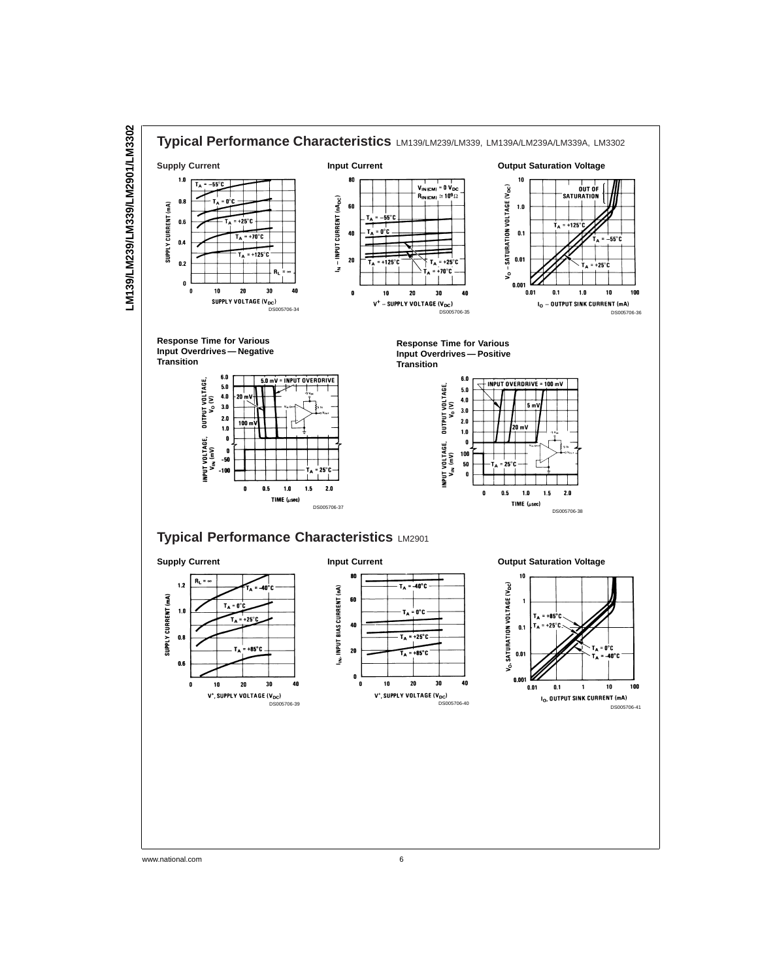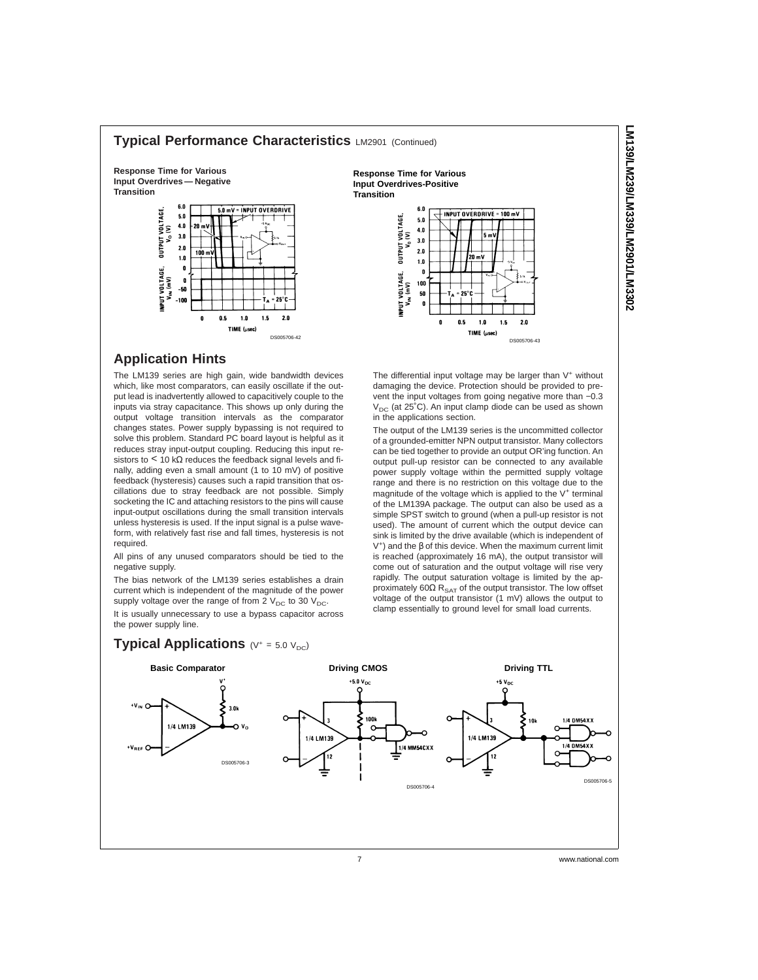





#### **Application Hints**

The LM139 series are high gain, wide bandwidth devices which, like most comparators, can easily oscillate if the output lead is inadvertently allowed to capacitively couple to the inputs via stray capacitance. This shows up only during the output voltage transition intervals as the comparator changes states. Power supply bypassing is not required to solve this problem. Standard PC board layout is helpful as it reduces stray input-output coupling. Reducing this input resistors to  $< 10 \text{ k}\Omega$  reduces the feedback signal levels and finally, adding even a small amount (1 to 10 mV) of positive feedback (hysteresis) causes such a rapid transition that oscillations due to stray feedback are not possible. Simply socketing the IC and attaching resistors to the pins will cause input-output oscillations during the small transition intervals unless hysteresis is used. If the input signal is a pulse waveform, with relatively fast rise and fall times, hysteresis is not required.

All pins of any unused comparators should be tied to the negative supply.

The bias network of the LM139 series establishes a drain current which is independent of the magnitude of the power supply voltage over the range of from  $2 \text{ V}_{\text{DC}}$  to 30  $\text{V}_{\text{DC}}$ .

It is usually unnecessary to use a bypass capacitor across the power supply line.

### **Typical Applications**  $(V^* = 5.0 V_{DC})$

The differential input voltage may be larger than V<sup>+</sup> without damaging the device. Protection should be provided to prevent the input voltages from going negative more than −0.3  $V_{DC}$  (at 25°C). An input clamp diode can be used as shown in the applications section.

The output of the LM139 series is the uncommitted collector of a grounded-emitter NPN output transistor. Many collectors can be tied together to provide an output OR'ing function. An output pull-up resistor can be connected to any available power supply voltage within the permitted supply voltage range and there is no restriction on this voltage due to the magnitude of the voltage which is applied to the V<sup>+</sup> terminal of the LM139A package. The output can also be used as a simple SPST switch to ground (when a pull-up resistor is not used). The amount of current which the output device can sink is limited by the drive available (which is independent of V+ ) and the β of this device. When the maximum current limit is reached (approximately 16 mA), the output transistor will come out of saturation and the output voltage will rise very rapidly. The output saturation voltage is limited by the approximately 60 $\Omega$  R<sub>SAT</sub> of the output transistor. The low offset voltage of the output transistor (1 mV) allows the output to clamp essentially to ground level for small load currents.

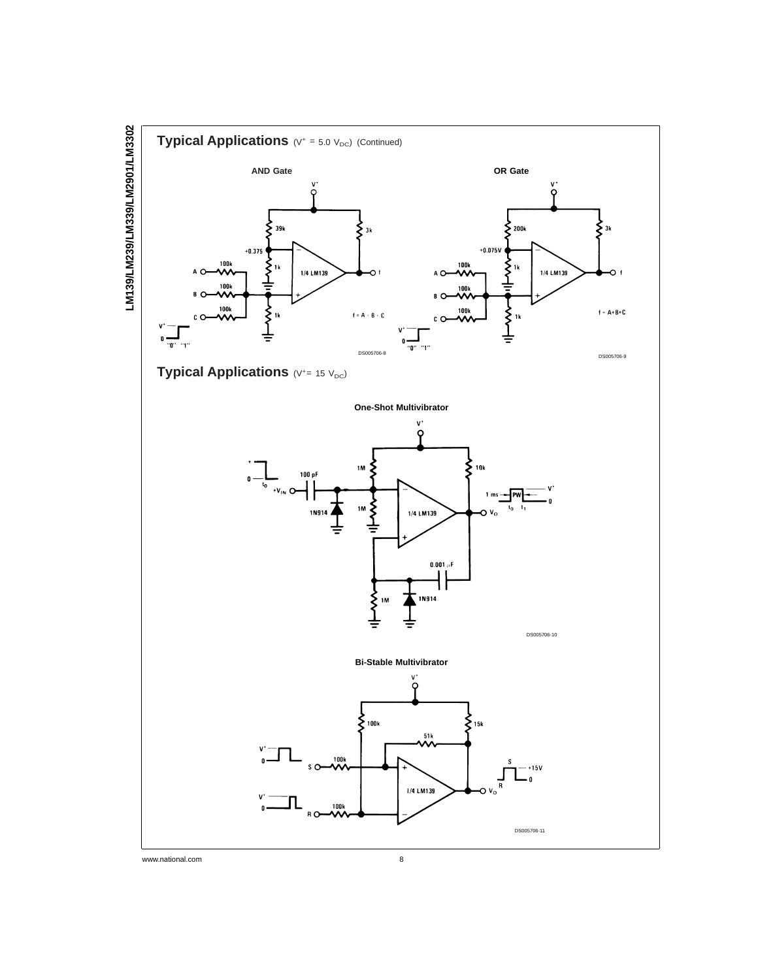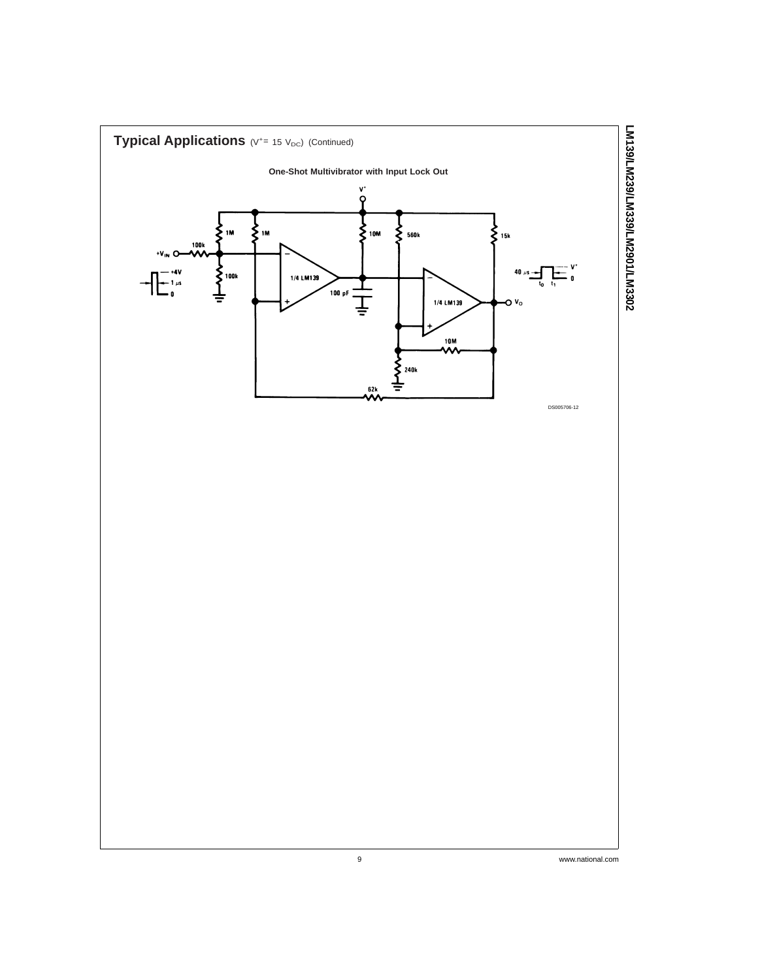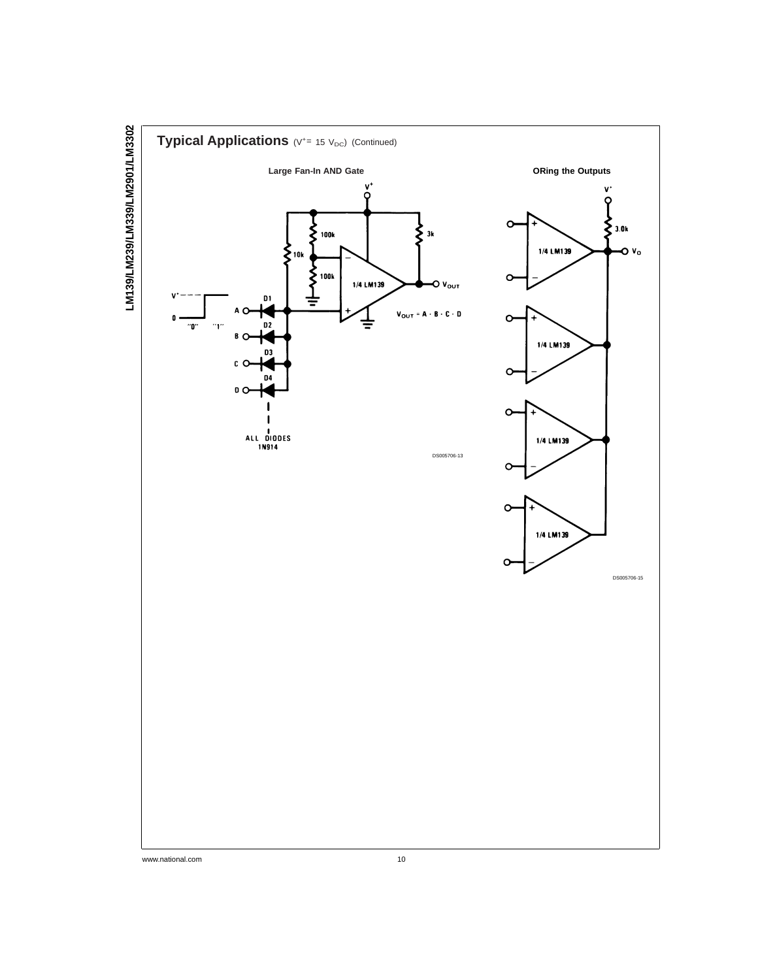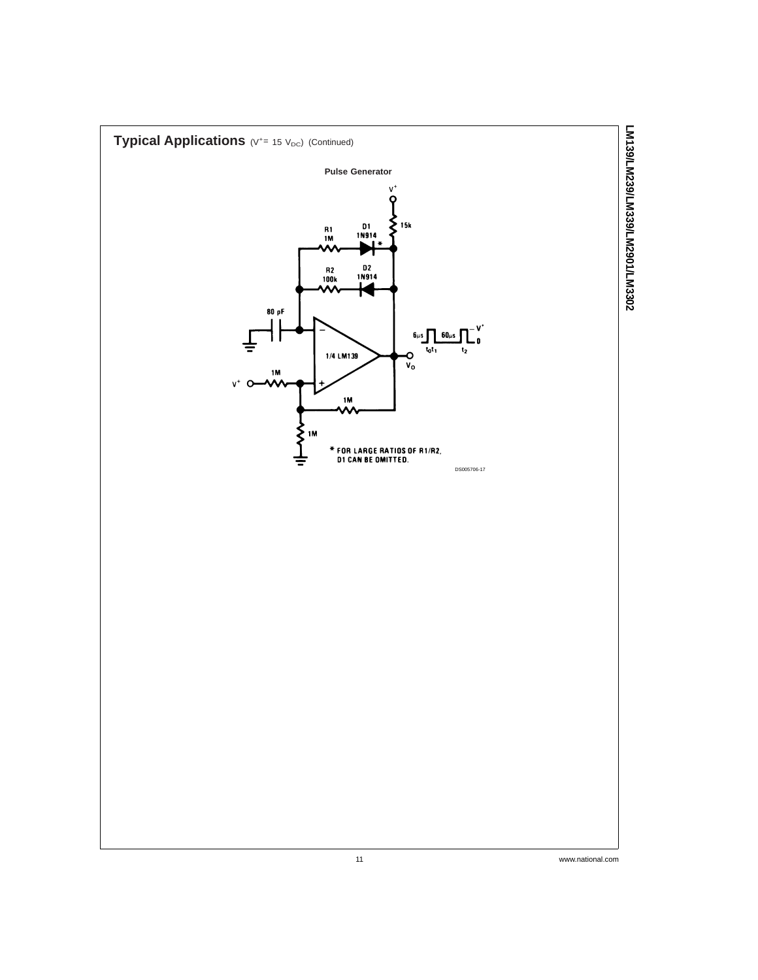

LM139/LM239/LM239/LM2901/LM3302 **LM139/LM239/LM339/LM2901/LM3302**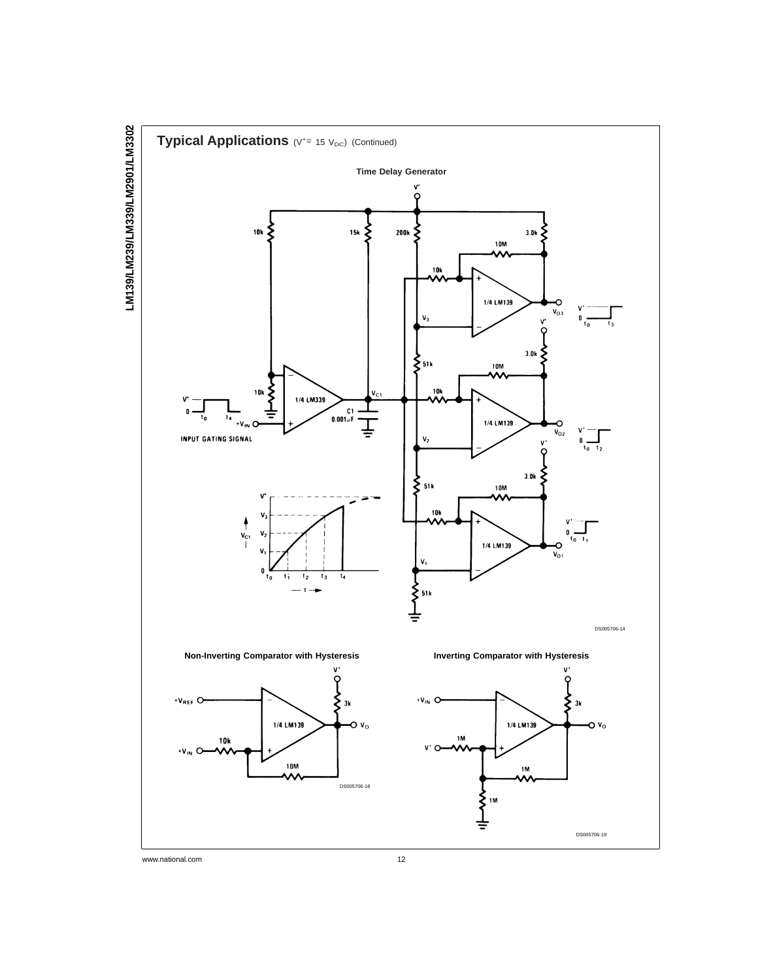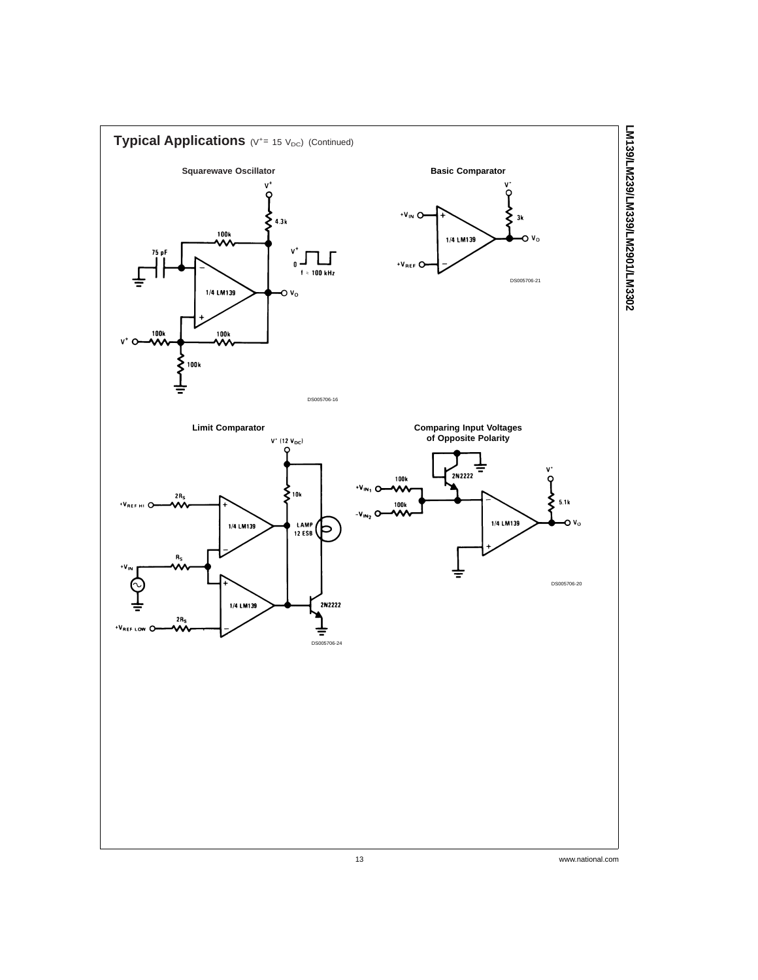

LM139/LM239/LM339/LM2901/LM3302 **LM139/LM239/LM339/LM2901/LM3302**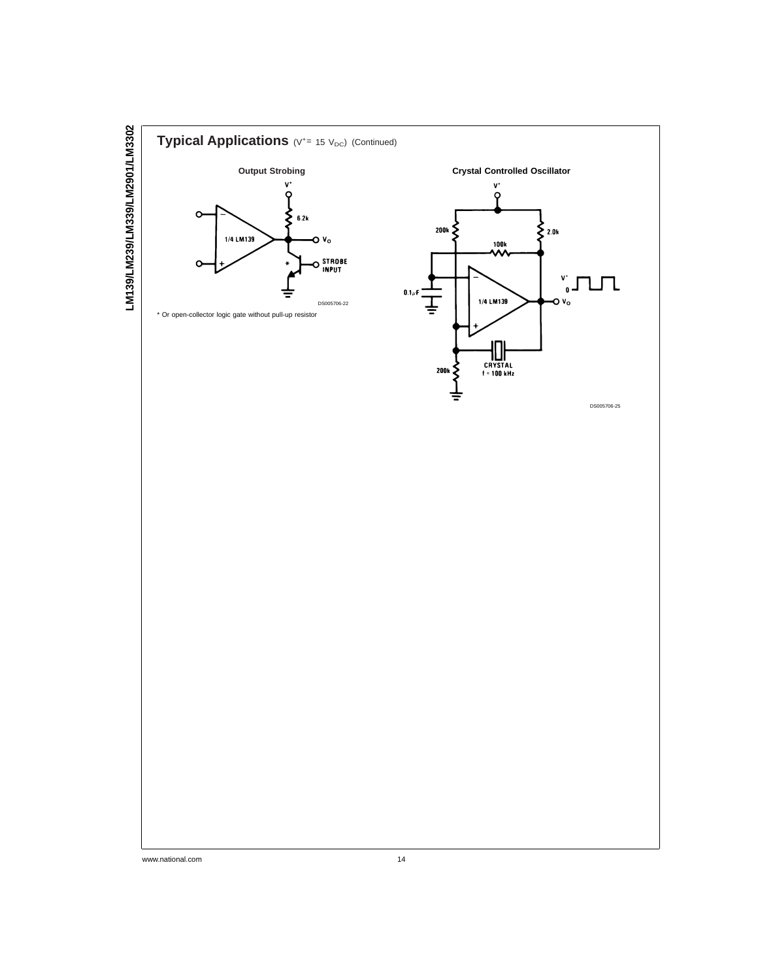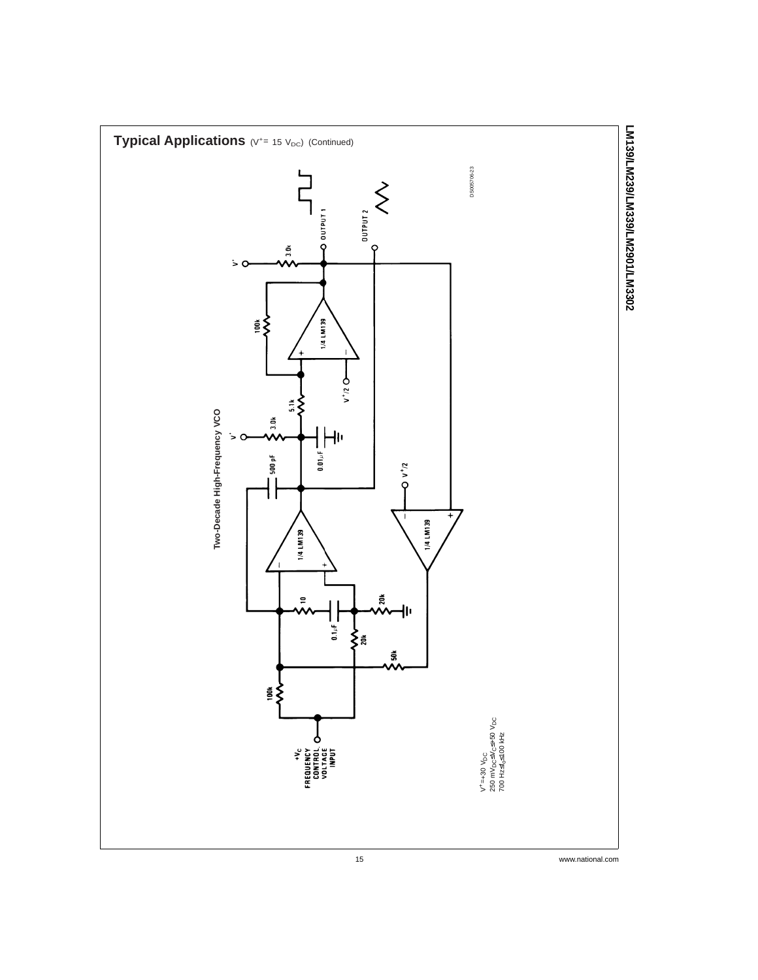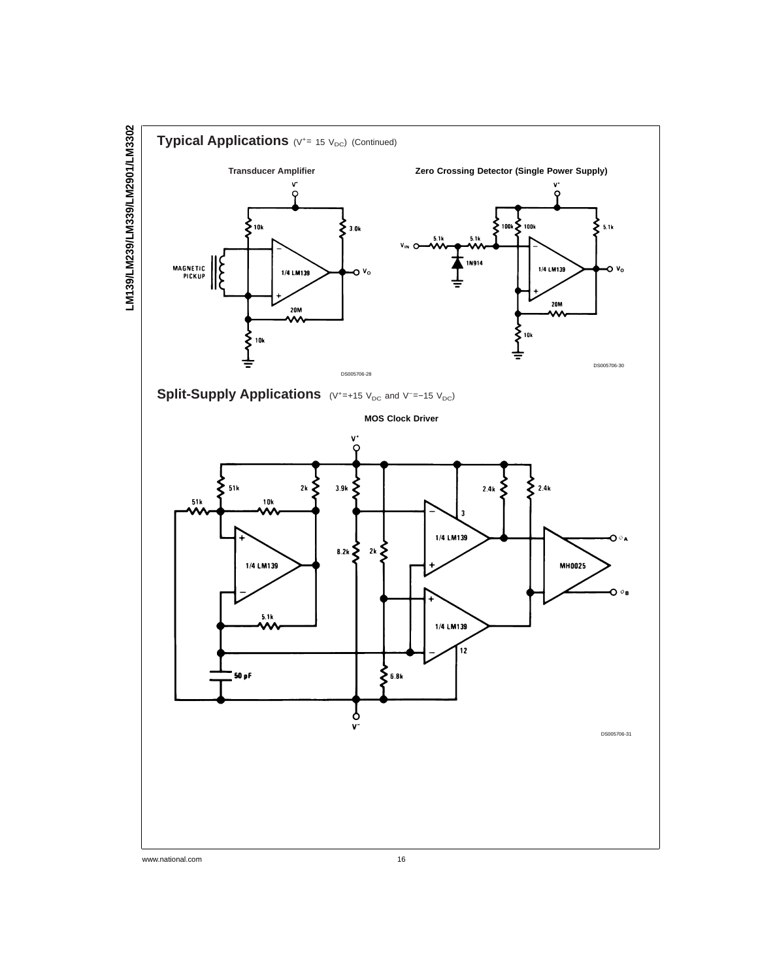

Split-Supply Applications (V<sup>+</sup>=+15 V<sub>DC</sub> and V<sup>-</sup>=−15 V<sub>DC</sub>)

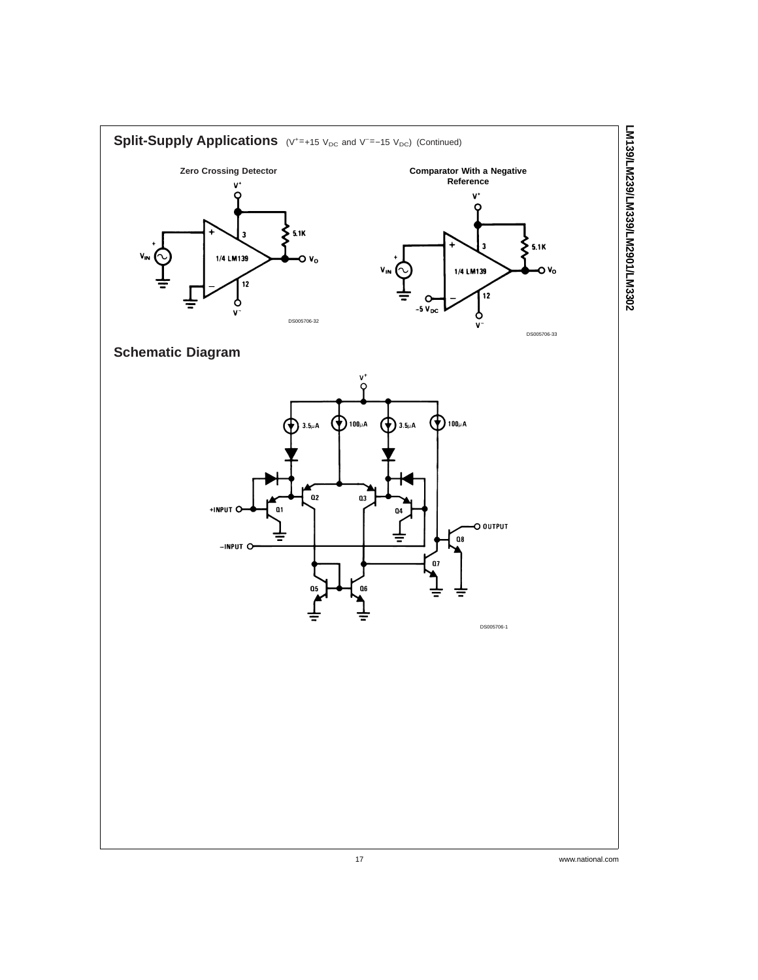

LM139/LM239/LM339/LM2901/LM3302 **LM139/LM239/LM339/LM2901/LM3302**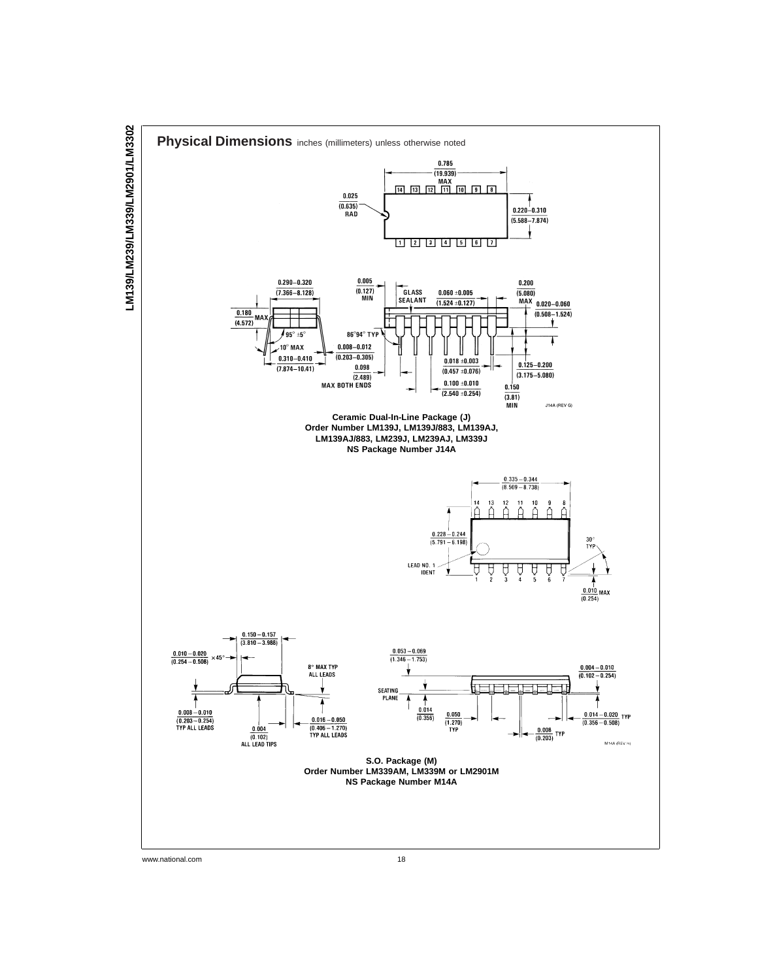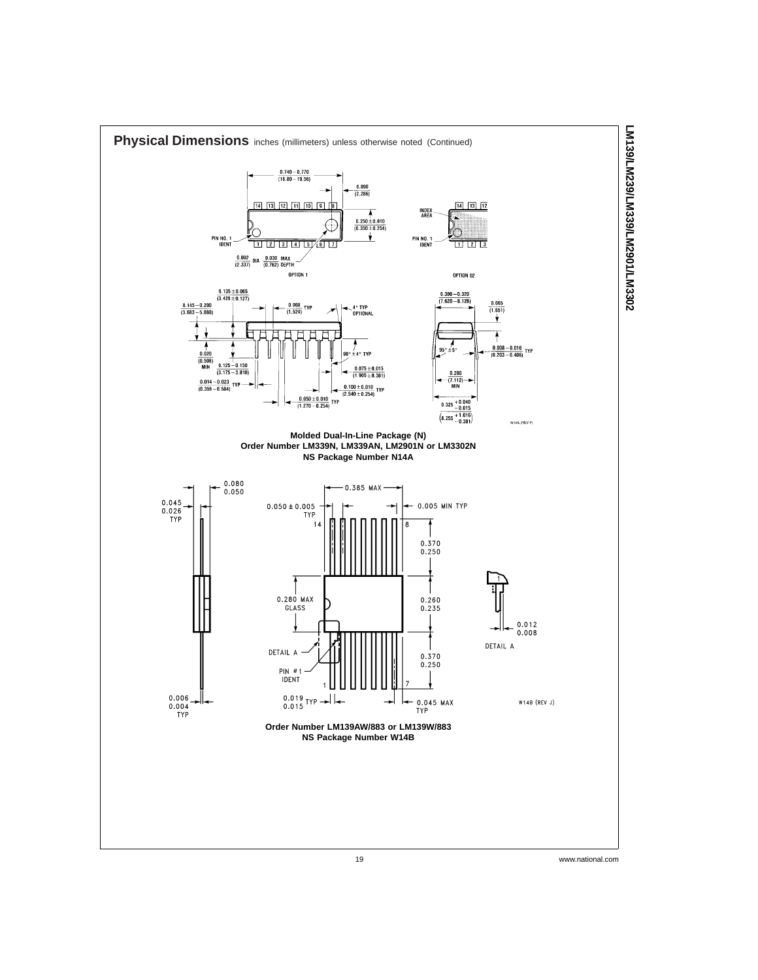

LM139/LM239/LM339/LM2901/LM3302 **LM139/LM239/LM339/LM2901/LM3302**